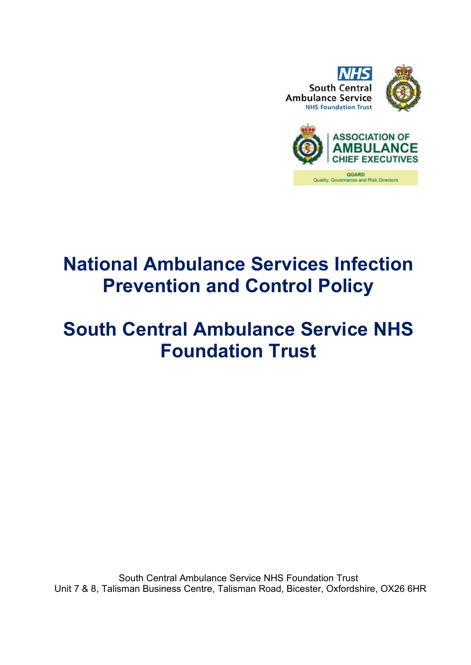



# **National Ambulance Services Infection Prevention and Control Policy**

## **South Central Ambulance Service NHS Foundation Trust**

South Central Ambulance Service NHS Foundation Trust Unit 7 & 8, Talisman Business Centre, Talisman Road, Bicester, Oxfordshire, OX26 6HR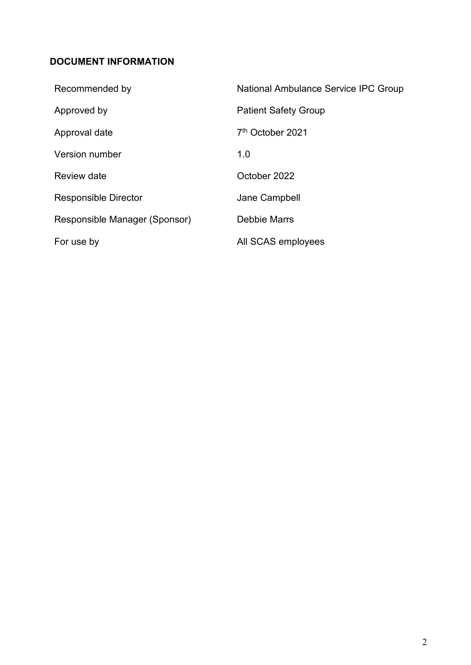#### <span id="page-1-0"></span>**DOCUMENT INFORMATION**

| Recommended by                | National Ambulance Service IPC Group |
|-------------------------------|--------------------------------------|
| Approved by                   | <b>Patient Safety Group</b>          |
| Approval date                 | 7 <sup>th</sup> October 2021         |
| Version number                | 1.0                                  |
| Review date                   | October 2022                         |
| Responsible Director          | Jane Campbell                        |
| Responsible Manager (Sponsor) | Debbie Marrs                         |
| For use by                    | All SCAS employees                   |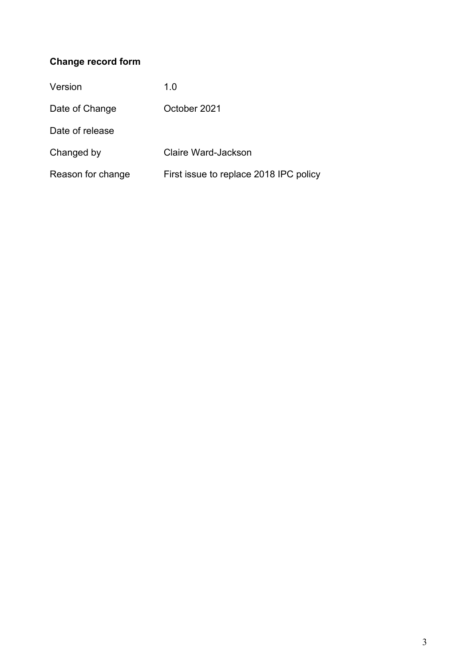### **Change record form**

| Version           | 1.0                                    |
|-------------------|----------------------------------------|
| Date of Change    | October 2021                           |
| Date of release   |                                        |
| Changed by        | <b>Claire Ward-Jackson</b>             |
| Reason for change | First issue to replace 2018 IPC policy |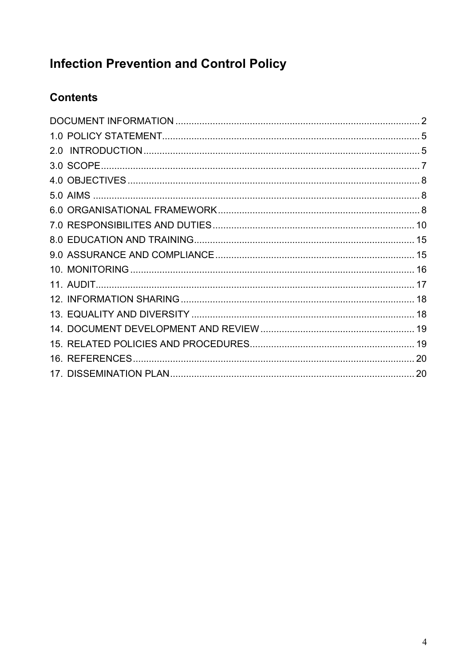## **Infection Prevention and Control Policy**

### **Contents**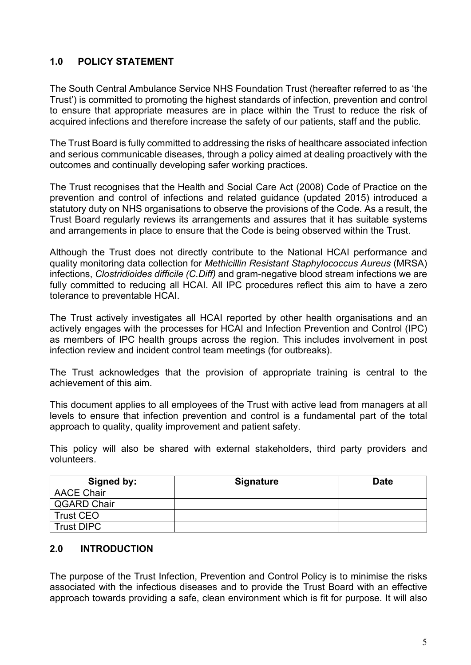#### <span id="page-4-0"></span>**1.0 POLICY STATEMENT**

The South Central Ambulance Service NHS Foundation Trust (hereafter referred to as 'the Trust') is committed to promoting the highest standards of infection, prevention and control to ensure that appropriate measures are in place within the Trust to reduce the risk of acquired infections and therefore increase the safety of our patients, staff and the public.

The Trust Board is fully committed to addressing the risks of healthcare associated infection and serious communicable diseases, through a policy aimed at dealing proactively with the outcomes and continually developing safer working practices.

The Trust recognises that the Health and Social Care Act (2008) Code of Practice on the prevention and control of infections and related guidance (updated 2015) introduced a statutory duty on NHS organisations to observe the provisions of the Code. As a result, the Trust Board regularly reviews its arrangements and assures that it has suitable systems and arrangements in place to ensure that the Code is being observed within the Trust.

Although the Trust does not directly contribute to the National HCAI performance and quality monitoring data collection for *Methicillin Resistant Staphylococcus Aureus* (MRSA) infections, *Clostridioides difficile (C.Diff)* and gram-negative blood stream infections we are fully committed to reducing all HCAI. All IPC procedures reflect this aim to have a zero tolerance to preventable HCAI.

The Trust actively investigates all HCAI reported by other health organisations and an actively engages with the processes for HCAI and Infection Prevention and Control (IPC) as members of IPC health groups across the region. This includes involvement in post infection review and incident control team meetings (for outbreaks).

The Trust acknowledges that the provision of appropriate training is central to the achievement of this aim.

This document applies to all employees of the Trust with active lead from managers at all levels to ensure that infection prevention and control is a fundamental part of the total approach to quality, quality improvement and patient safety.

This policy will also be shared with external stakeholders, third party providers and volunteers.

| Signed by:         | <b>Signature</b> | Date |
|--------------------|------------------|------|
| <b>AACE Chair</b>  |                  |      |
| <b>QGARD Chair</b> |                  |      |
| <b>Trust CEO</b>   |                  |      |
| <b>Trust DIPC</b>  |                  |      |

#### <span id="page-4-1"></span>**2.0 INTRODUCTION**

The purpose of the Trust Infection, Prevention and Control Policy is to minimise the risks associated with the infectious diseases and to provide the Trust Board with an effective approach towards providing a safe, clean environment which is fit for purpose. It will also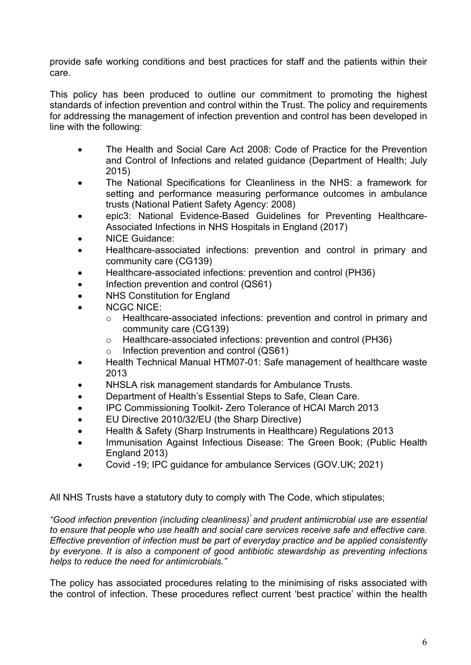provide safe working conditions and best practices for staff and the patients within their care.

This policy has been produced to outline our commitment to promoting the highest standards of infection prevention and control within the Trust. The policy and requirements for addressing the management of infection prevention and control has been developed in line with the following:

- The Health and Social Care Act 2008: Code of Practice for the Prevention and Control of Infections and related guidance (Department of Health; July 2015)
- The National Specifications for Cleanliness in the NHS: a framework for setting and performance measuring performance outcomes in ambulance trusts (National Patient Safety Agency: 2008)
- epic3: National Evidence-Based Guidelines for Preventing Healthcare-Associated Infections in NHS Hospitals in England (2017)
- NICE Guidance:
- Healthcare-associated infections: prevention and control in primary and community care (CG139)
- Healthcare-associated infections: prevention and control (PH36)
- Infection prevention and control (QS61)
- NHS Constitution for England
- NCGC NICE:
	- o Healthcare-associated infections: prevention and control in primary and community care (CG139)
	- o Healthcare-associated infections: prevention and control (PH36)
	- o Infection prevention and control (QS61)
- Health Technical Manual HTM07-01: Safe management of healthcare waste 2013
- NHSLA risk management standards for Ambulance Trusts.
- Department of Health's Essential Steps to Safe, Clean Care.
- IPC Commissioning Toolkit- Zero Tolerance of HCAI March 2013
- EU Directive 2010/32/EU (the Sharp Directive)
- Health & Safety (Sharp Instruments in Healthcare) Regulations 2013
- Immunisation Against Infectious Disease: The Green Book; (Public Health England 2013)
- Covid -19; IPC guidance for ambulance Services (GOV.UK; 2021)

All NHS Trusts have a statutory duty to comply with The Code, which stipulates;

*"Good infection prevention (including cleanliness)1 and prudent antimicrobial use are essential to ensure that people who use health and social care services receive safe and effective care. Effective prevention of infection must be part of everyday practice and be applied consistently by everyone. It is also a component of good antibiotic stewardship as preventing infections helps to reduce the need for antimicrobials."*

The policy has associated procedures relating to the minimising of risks associated with the control of infection. These procedures reflect current 'best practice' within the health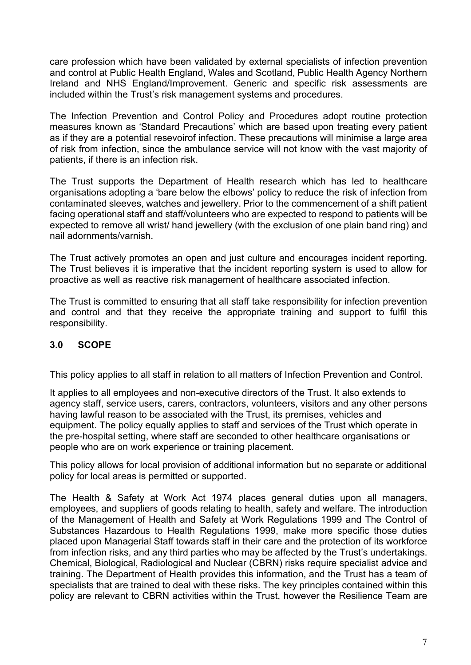care profession which have been validated by external specialists of infection prevention and control at Public Health England, Wales and Scotland, Public Health Agency Northern Ireland and NHS England/Improvement. Generic and specific risk assessments are included within the Trust's risk management systems and procedures.

The Infection Prevention and Control Policy and Procedures adopt routine protection measures known as 'Standard Precautions' which are based upon treating every patient as if they are a potential resevoirof infection. These precautions will minimise a large area of risk from infection, since the ambulance service will not know with the vast majority of patients, if there is an infection risk.

The Trust supports the Department of Health research which has led to healthcare organisations adopting a 'bare below the elbows' policy to reduce the risk of infection from contaminated sleeves, watches and jewellery. Prior to the commencement of a shift patient facing operational staff and staff/volunteers who are expected to respond to patients will be expected to remove all wrist/ hand jewellery (with the exclusion of one plain band ring) and nail adornments/varnish.

The Trust actively promotes an open and just culture and encourages incident reporting. The Trust believes it is imperative that the incident reporting system is used to allow for proactive as well as reactive risk management of healthcare associated infection.

The Trust is committed to ensuring that all staff take responsibility for infection prevention and control and that they receive the appropriate training and support to fulfil this responsibility.

#### <span id="page-6-0"></span>**3.0 SCOPE**

This policy applies to all staff in relation to all matters of Infection Prevention and Control.

It applies to all employees and non-executive directors of the Trust. It also extends to agency staff, service users, carers, contractors, volunteers, visitors and any other persons having lawful reason to be associated with the Trust, its premises, vehicles and equipment. The policy equally applies to staff and services of the Trust which operate in the pre-hospital setting, where staff are seconded to other healthcare organisations or people who are on work experience or training placement.

This policy allows for local provision of additional information but no separate or additional policy for local areas is permitted or supported.

The Health & Safety at Work Act 1974 places general duties upon all managers, employees, and suppliers of goods relating to health, safety and welfare. The introduction of the Management of Health and Safety at Work Regulations 1999 and The Control of Substances Hazardous to Health Regulations 1999, make more specific those duties placed upon Managerial Staff towards staff in their care and the protection of its workforce from infection risks, and any third parties who may be affected by the Trust's undertakings. Chemical, Biological, Radiological and Nuclear (CBRN) risks require specialist advice and training. The Department of Health provides this information, and the Trust has a team of specialists that are trained to deal with these risks. The key principles contained within this policy are relevant to CBRN activities within the Trust, however the Resilience Team are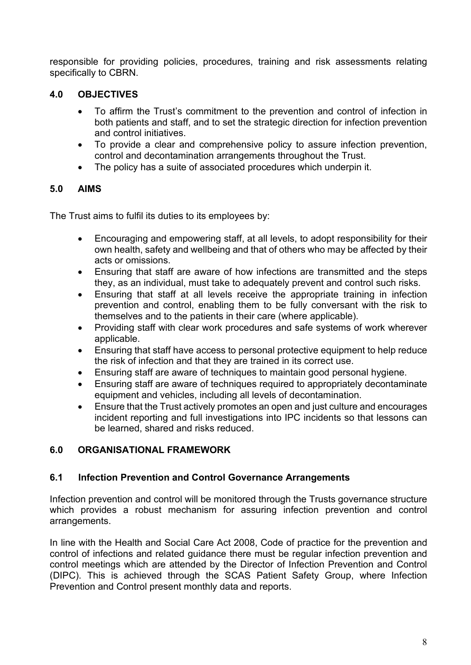responsible for providing policies, procedures, training and risk assessments relating specifically to CBRN.

#### <span id="page-7-0"></span>**4.0 OBJECTIVES**

- To affirm the Trust's commitment to the prevention and control of infection in both patients and staff, and to set the strategic direction for infection prevention and control initiatives.
- To provide a clear and comprehensive policy to assure infection prevention, control and decontamination arrangements throughout the Trust.
- The policy has a suite of associated procedures which underpin it.

#### <span id="page-7-1"></span>**5.0 AIMS**

The Trust aims to fulfil its duties to its employees by:

- Encouraging and empowering staff, at all levels, to adopt responsibility for their own health, safety and wellbeing and that of others who may be affected by their acts or omissions.
- Ensuring that staff are aware of how infections are transmitted and the steps they, as an individual, must take to adequately prevent and control such risks.
- Ensuring that staff at all levels receive the appropriate training in infection prevention and control, enabling them to be fully conversant with the risk to themselves and to the patients in their care (where applicable).
- Providing staff with clear work procedures and safe systems of work wherever applicable.
- Ensuring that staff have access to personal protective equipment to help reduce the risk of infection and that they are trained in its correct use.
- Ensuring staff are aware of techniques to maintain good personal hygiene.
- Ensuring staff are aware of techniques required to appropriately decontaminate equipment and vehicles, including all levels of decontamination.
- Ensure that the Trust actively promotes an open and just culture and encourages incident reporting and full investigations into IPC incidents so that lessons can be learned, shared and risks reduced.

#### <span id="page-7-2"></span>**6.0 ORGANISATIONAL FRAMEWORK**

#### **6.1 Infection Prevention and Control Governance Arrangements**

Infection prevention and control will be monitored through the Trusts governance structure which provides a robust mechanism for assuring infection prevention and control arrangements.

In line with the Health and Social Care Act 2008, Code of practice for the prevention and control of infections and related guidance there must be regular infection prevention and control meetings which are attended by the Director of Infection Prevention and Control (DIPC). This is achieved through the SCAS Patient Safety Group, where Infection Prevention and Control present monthly data and reports.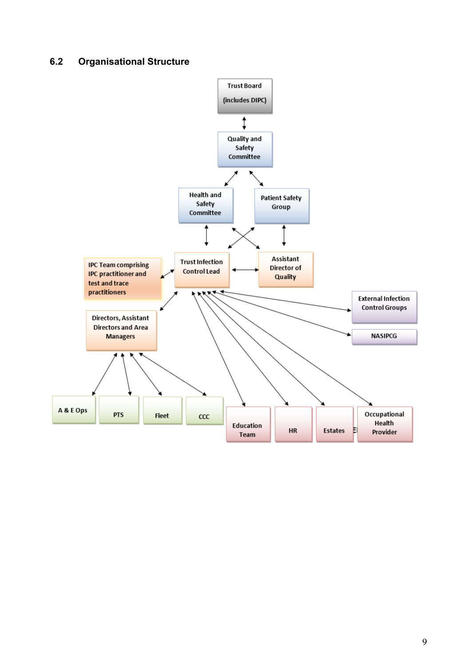#### **6.2 Organisational Structure**

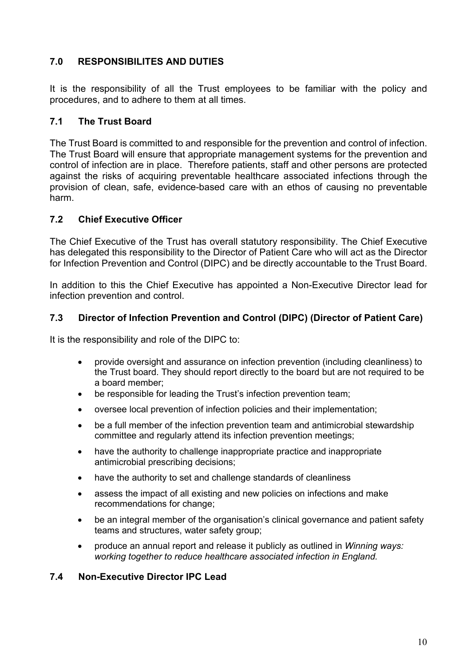#### <span id="page-9-0"></span>**7.0 RESPONSIBILITES AND DUTIES**

It is the responsibility of all the Trust employees to be familiar with the policy and procedures, and to adhere to them at all times.

#### **7.1 The Trust Board**

The Trust Board is committed to and responsible for the prevention and control of infection. The Trust Board will ensure that appropriate management systems for the prevention and control of infection are in place. Therefore patients, staff and other persons are protected against the risks of acquiring preventable healthcare associated infections through the provision of clean, safe, evidence-based care with an ethos of causing no preventable harm.

#### **7.2 Chief Executive Officer**

The Chief Executive of the Trust has overall statutory responsibility. The Chief Executive has delegated this responsibility to the Director of Patient Care who will act as the Director for Infection Prevention and Control (DIPC) and be directly accountable to the Trust Board.

In addition to this the Chief Executive has appointed a Non-Executive Director lead for infection prevention and control.

#### **7.3 Director of Infection Prevention and Control (DIPC) (Director of Patient Care)**

It is the responsibility and role of the DIPC to:

- provide oversight and assurance on infection prevention (including cleanliness) to the Trust board. They should report directly to the board but are not required to be a board member;
- be responsible for leading the Trust's infection prevention team;
- oversee local prevention of infection policies and their implementation;
- be a full member of the infection prevention team and antimicrobial stewardship committee and regularly attend its infection prevention meetings;
- have the authority to challenge inappropriate practice and inappropriate antimicrobial prescribing decisions;
- have the authority to set and challenge standards of cleanliness
- assess the impact of all existing and new policies on infections and make recommendations for change;
- be an integral member of the organisation's clinical governance and patient safety teams and structures, water safety group;
- produce an annual report and release it publicly as outlined in *Winning ways: working together to reduce healthcare associated infection in England.*

#### **7.4 Non-Executive Director IPC Lead**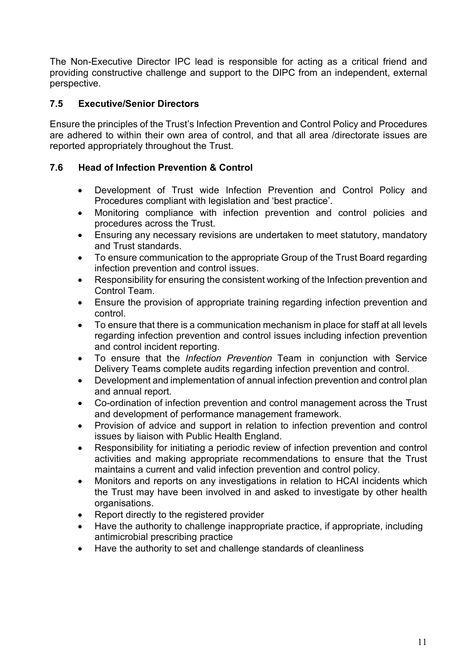The Non-Executive Director IPC lead is responsible for acting as a critical friend and providing constructive challenge and support to the DIPC from an independent, external perspective.

#### **7.5 Executive/Senior Directors**

Ensure the principles of the Trust's Infection Prevention and Control Policy and Procedures are adhered to within their own area of control, and that all area /directorate issues are reported appropriately throughout the Trust.

#### **7.6 Head of Infection Prevention & Control**

- Development of Trust wide Infection Prevention and Control Policy and Procedures compliant with legislation and 'best practice'.
- Monitoring compliance with infection prevention and control policies and procedures across the Trust.
- Ensuring any necessary revisions are undertaken to meet statutory, mandatory and Trust standards.
- To ensure communication to the appropriate Group of the Trust Board regarding infection prevention and control issues.
- Responsibility for ensuring the consistent working of the Infection prevention and Control Team.
- Ensure the provision of appropriate training regarding infection prevention and control.
- To ensure that there is a communication mechanism in place for staff at all levels regarding infection prevention and control issues including infection prevention and control incident reporting.
- To ensure that the *Infection Prevention* Team in conjunction with Service Delivery Teams complete audits regarding infection prevention and control.
- Development and implementation of annual infection prevention and control plan and annual report.
- Co-ordination of infection prevention and control management across the Trust and development of performance management framework.
- Provision of advice and support in relation to infection prevention and control issues by liaison with Public Health England.
- Responsibility for initiating a periodic review of infection prevention and control activities and making appropriate recommendations to ensure that the Trust maintains a current and valid infection prevention and control policy.
- Monitors and reports on any investigations in relation to HCAI incidents which the Trust may have been involved in and asked to investigate by other health organisations.
- Report directly to the registered provider
- Have the authority to challenge inappropriate practice, if appropriate, including antimicrobial prescribing practice
- Have the authority to set and challenge standards of cleanliness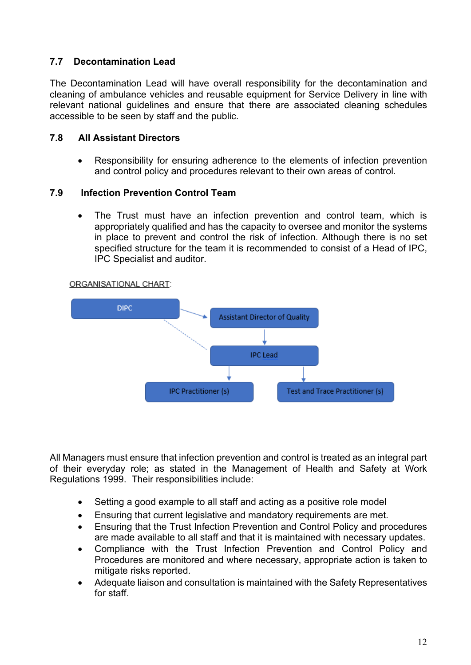#### **7.7 Decontamination Lead**

The Decontamination Lead will have overall responsibility for the decontamination and cleaning of ambulance vehicles and reusable equipment for Service Delivery in line with relevant national guidelines and ensure that there are associated cleaning schedules accessible to be seen by staff and the public.

#### **7.8 All Assistant Directors**

• Responsibility for ensuring adherence to the elements of infection prevention and control policy and procedures relevant to their own areas of control.

#### **7.9 Infection Prevention Control Team**

• The Trust must have an infection prevention and control team, which is appropriately qualified and has the capacity to oversee and monitor the systems in place to prevent and control the risk of infection. Although there is no set specified structure for the team it is recommended to consist of a Head of IPC, IPC Specialist and auditor.



ORGANISATIONAL CHART:

All Managers must ensure that infection prevention and control is treated as an integral part of their everyday role; as stated in the Management of Health and Safety at Work Regulations 1999. Their responsibilities include:

- Setting a good example to all staff and acting as a positive role model
- Ensuring that current legislative and mandatory requirements are met.
- Ensuring that the Trust Infection Prevention and Control Policy and procedures are made available to all staff and that it is maintained with necessary updates.
- Compliance with the Trust Infection Prevention and Control Policy and Procedures are monitored and where necessary, appropriate action is taken to mitigate risks reported.
- Adequate liaison and consultation is maintained with the Safety Representatives for staff.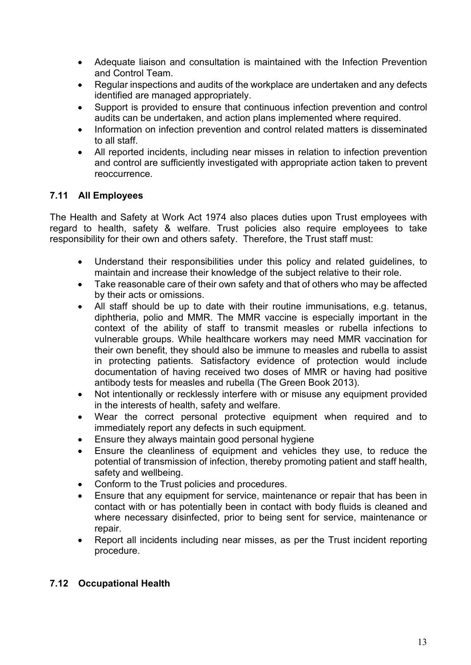- Adequate liaison and consultation is maintained with the Infection Prevention and Control Team.
- Regular inspections and audits of the workplace are undertaken and any defects identified are managed appropriately.
- Support is provided to ensure that continuous infection prevention and control audits can be undertaken, and action plans implemented where required.
- Information on infection prevention and control related matters is disseminated to all staff.
- All reported incidents, including near misses in relation to infection prevention and control are sufficiently investigated with appropriate action taken to prevent reoccurrence.

#### **7.11 All Employees**

The Health and Safety at Work Act 1974 also places duties upon Trust employees with regard to health, safety & welfare. Trust policies also require employees to take responsibility for their own and others safety. Therefore, the Trust staff must:

- Understand their responsibilities under this policy and related guidelines, to maintain and increase their knowledge of the subject relative to their role.
- Take reasonable care of their own safety and that of others who may be affected by their acts or omissions.
- All staff should be up to date with their routine immunisations, e.g. tetanus, diphtheria, polio and MMR. The MMR vaccine is especially important in the context of the ability of staff to transmit measles or rubella infections to vulnerable groups. While healthcare workers may need MMR vaccination for their own benefit, they should also be immune to measles and rubella to assist in protecting patients. Satisfactory evidence of protection would include documentation of having received two doses of MMR or having had positive antibody tests for measles and rubella (The Green Book 2013).
- Not intentionally or recklessly interfere with or misuse any equipment provided in the interests of health, safety and welfare.
- Wear the correct personal protective equipment when required and to immediately report any defects in such equipment.
- Ensure they always maintain good personal hygiene
- Ensure the cleanliness of equipment and vehicles they use, to reduce the potential of transmission of infection, thereby promoting patient and staff health, safety and wellbeing.
- Conform to the Trust policies and procedures.
- Ensure that any equipment for service, maintenance or repair that has been in contact with or has potentially been in contact with body fluids is cleaned and where necessary disinfected, prior to being sent for service, maintenance or repair.
- Report all incidents including near misses, as per the Trust incident reporting procedure.

#### **7.12 Occupational Health**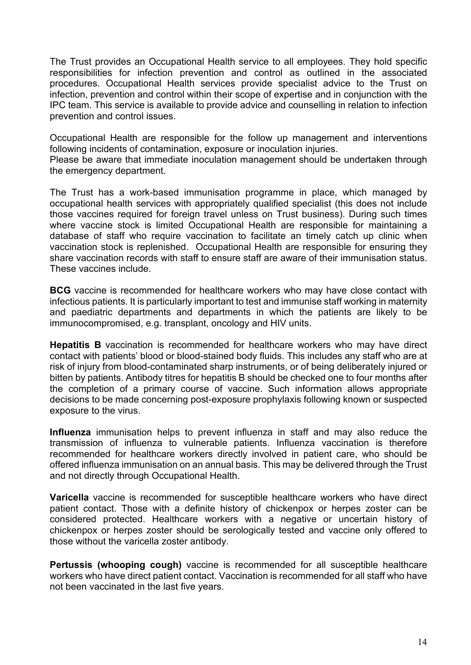The Trust provides an Occupational Health service to all employees. They hold specific responsibilities for infection prevention and control as outlined in the associated procedures. Occupational Health services provide specialist advice to the Trust on infection, prevention and control within their scope of expertise and in conjunction with the IPC team. This service is available to provide advice and counselling in relation to infection prevention and control issues.

Occupational Health are responsible for the follow up management and interventions following incidents of contamination, exposure or inoculation injuries.

Please be aware that immediate inoculation management should be undertaken through the emergency department.

The Trust has a work-based immunisation programme in place, which managed by occupational health services with appropriately qualified specialist (this does not include those vaccines required for foreign travel unless on Trust business). During such times where vaccine stock is limited Occupational Health are responsible for maintaining a database of staff who require vaccination to facilitate an timely catch up clinic when vaccination stock is replenished. Occupational Health are responsible for ensuring they share vaccination records with staff to ensure staff are aware of their immunisation status. These vaccines include.

**BCG** vaccine is recommended for healthcare workers who may have close contact with infectious patients. It is particularly important to test and immunise staff working in maternity and paediatric departments and departments in which the patients are likely to be immunocompromised, e.g. transplant, oncology and HIV units.

**Hepatitis B** vaccination is recommended for healthcare workers who may have direct contact with patients' blood or blood-stained body fluids. This includes any staff who are at risk of injury from blood-contaminated sharp instruments, or of being deliberately injured or bitten by patients. Antibody titres for hepatitis B should be checked one to four months after the completion of a primary course of vaccine. Such information allows appropriate decisions to be made concerning post-exposure prophylaxis following known or suspected exposure to the virus.

**Influenza** immunisation helps to prevent influenza in staff and may also reduce the transmission of influenza to vulnerable patients. Influenza vaccination is therefore recommended for healthcare workers directly involved in patient care, who should be offered influenza immunisation on an annual basis. This may be delivered through the Trust and not directly through Occupational Health.

**Varicella** vaccine is recommended for susceptible healthcare workers who have direct patient contact. Those with a definite history of chickenpox or herpes zoster can be considered protected. Healthcare workers with a negative or uncertain history of chickenpox or herpes zoster should be serologically tested and vaccine only offered to those without the varicella zoster antibody.

**Pertussis (whooping cough)** vaccine is recommended for all susceptible healthcare workers who have direct patient contact. Vaccination is recommended for all staff who have not been vaccinated in the last five years.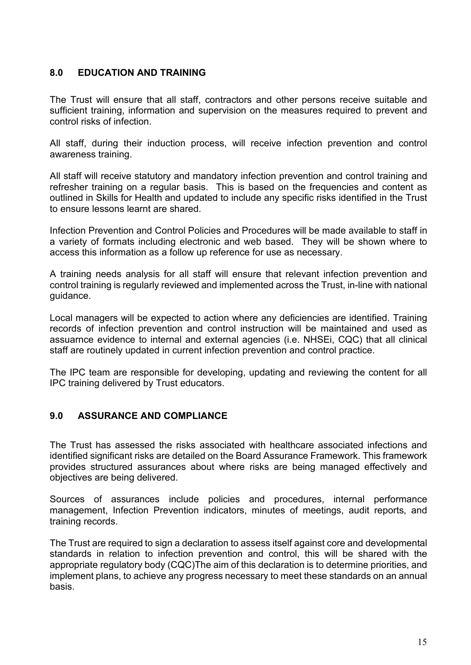#### <span id="page-14-0"></span>**8.0 EDUCATION AND TRAINING**

The Trust will ensure that all staff, contractors and other persons receive suitable and sufficient training, information and supervision on the measures required to prevent and control risks of infection.

All staff, during their induction process, will receive infection prevention and control awareness training.

All staff will receive statutory and mandatory infection prevention and control training and refresher training on a regular basis. This is based on the frequencies and content as outlined in Skills for Health and updated to include any specific risks identified in the Trust to ensure lessons learnt are shared.

Infection Prevention and Control Policies and Procedures will be made available to staff in a variety of formats including electronic and web based. They will be shown where to access this information as a follow up reference for use as necessary.

A training needs analysis for all staff will ensure that relevant infection prevention and control training is regularly reviewed and implemented across the Trust, in-line with national guidance.

Local managers will be expected to action where any deficiencies are identified. Training records of infection prevention and control instruction will be maintained and used as assuarnce evidence to internal and external agencies (i.e. NHSEi, CQC) that all clinical staff are routinely updated in current infection prevention and control practice.

The IPC team are responsible for developing, updating and reviewing the content for all IPC training delivered by Trust educators.

#### <span id="page-14-1"></span>**9.0 ASSURANCE AND COMPLIANCE**

The Trust has assessed the risks associated with healthcare associated infections and identified significant risks are detailed on the Board Assurance Framework. This framework provides structured assurances about where risks are being managed effectively and objectives are being delivered.

Sources of assurances include policies and procedures, internal performance management, Infection Prevention indicators, minutes of meetings, audit reports, and training records.

The Trust are required to sign a declaration to assess itself against core and developmental standards in relation to infection prevention and control, this will be shared with the appropriate regulatory body (CQC)The aim of this declaration is to determine priorities, and implement plans, to achieve any progress necessary to meet these standards on an annual basis.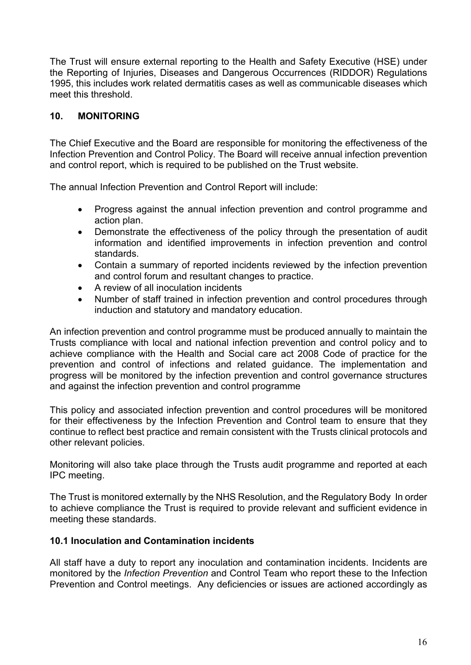The Trust will ensure external reporting to the Health and Safety Executive (HSE) under the Reporting of Injuries, Diseases and Dangerous Occurrences (RIDDOR) Regulations 1995, this includes work related dermatitis cases as well as communicable diseases which meet this threshold.

#### <span id="page-15-0"></span>**10. MONITORING**

The Chief Executive and the Board are responsible for monitoring the effectiveness of the Infection Prevention and Control Policy. The Board will receive annual infection prevention and control report, which is required to be published on the Trust website.

The annual Infection Prevention and Control Report will include:

- Progress against the annual infection prevention and control programme and action plan.
- Demonstrate the effectiveness of the policy through the presentation of audit information and identified improvements in infection prevention and control standards.
- Contain a summary of reported incidents reviewed by the infection prevention and control forum and resultant changes to practice.
- A review of all inoculation incidents
- Number of staff trained in infection prevention and control procedures through induction and statutory and mandatory education.

An infection prevention and control programme must be produced annually to maintain the Trusts compliance with local and national infection prevention and control policy and to achieve compliance with the Health and Social care act 2008 Code of practice for the prevention and control of infections and related guidance. The implementation and progress will be monitored by the infection prevention and control governance structures and against the infection prevention and control programme

This policy and associated infection prevention and control procedures will be monitored for their effectiveness by the Infection Prevention and Control team to ensure that they continue to reflect best practice and remain consistent with the Trusts clinical protocols and other relevant policies.

Monitoring will also take place through the Trusts audit programme and reported at each IPC meeting.

The Trust is monitored externally by the NHS Resolution, and the Regulatory Body In order to achieve compliance the Trust is required to provide relevant and sufficient evidence in meeting these standards.

#### **10.1 Inoculation and Contamination incidents**

All staff have a duty to report any inoculation and contamination incidents. Incidents are monitored by the *Infection Prevention* and Control Team who report these to the Infection Prevention and Control meetings. Any deficiencies or issues are actioned accordingly as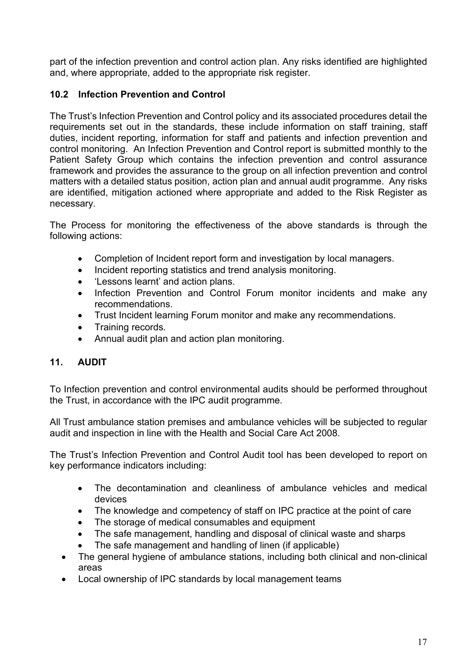part of the infection prevention and control action plan. Any risks identified are highlighted and, where appropriate, added to the appropriate risk register.

#### **10.2 Infection Prevention and Control**

The Trust's Infection Prevention and Control policy and its associated procedures detail the requirements set out in the standards, these include information on staff training, staff duties, incident reporting, information for staff and patients and infection prevention and control monitoring. An Infection Prevention and Control report is submitted monthly to the Patient Safety Group which contains the infection prevention and control assurance framework and provides the assurance to the group on all infection prevention and control matters with a detailed status position, action plan and annual audit programme. Any risks are identified, mitigation actioned where appropriate and added to the Risk Register as necessary.

The Process for monitoring the effectiveness of the above standards is through the following actions:

- Completion of Incident report form and investigation by local managers.
- Incident reporting statistics and trend analysis monitoring.
- 'Lessons learnt' and action plans.
- Infection Prevention and Control Forum monitor incidents and make any recommendations.
- Trust Incident learning Forum monitor and make any recommendations.
- Training records.
- Annual audit plan and action plan monitoring.

#### <span id="page-16-0"></span>**11. AUDIT**

To Infection prevention and control environmental audits should be performed throughout the Trust, in accordance with the IPC audit programme.

All Trust ambulance station premises and ambulance vehicles will be subjected to regular audit and inspection in line with the Health and Social Care Act 2008.

The Trust's Infection Prevention and Control Audit tool has been developed to report on key performance indicators including:

- The decontamination and cleanliness of ambulance vehicles and medical devices
- The knowledge and competency of staff on IPC practice at the point of care
- The storage of medical consumables and equipment
- The safe management, handling and disposal of clinical waste and sharps
- The safe management and handling of linen (if applicable)
- The general hygiene of ambulance stations, including both clinical and non-clinical areas
- Local ownership of IPC standards by local management teams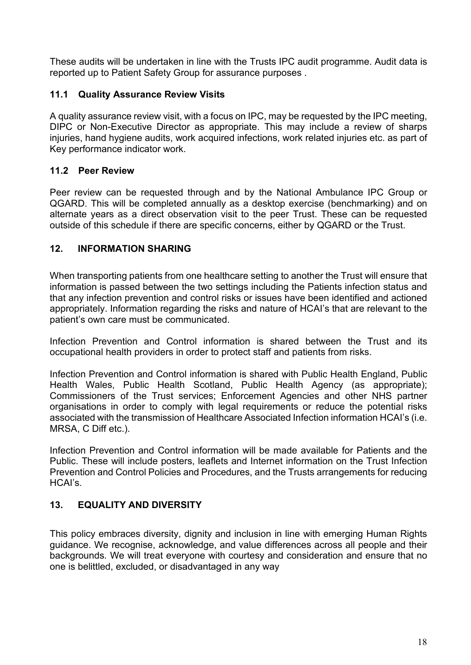These audits will be undertaken in line with the Trusts IPC audit programme. Audit data is reported up to Patient Safety Group for assurance purposes .

#### **11.1 Quality Assurance Review Visits**

A quality assurance review visit, with a focus on IPC, may be requested by the IPC meeting, DIPC or Non-Executive Director as appropriate. This may include a review of sharps injuries, hand hygiene audits, work acquired infections, work related injuries etc. as part of Key performance indicator work.

#### **11.2 Peer Review**

Peer review can be requested through and by the National Ambulance IPC Group or QGARD. This will be completed annually as a desktop exercise (benchmarking) and on alternate years as a direct observation visit to the peer Trust. These can be requested outside of this schedule if there are specific concerns, either by QGARD or the Trust.

#### <span id="page-17-0"></span>**12. INFORMATION SHARING**

When transporting patients from one healthcare setting to another the Trust will ensure that information is passed between the two settings including the Patients infection status and that any infection prevention and control risks or issues have been identified and actioned appropriately. Information regarding the risks and nature of HCAI's that are relevant to the patient's own care must be communicated.

Infection Prevention and Control information is shared between the Trust and its occupational health providers in order to protect staff and patients from risks.

Infection Prevention and Control information is shared with Public Health England, Public Health Wales, Public Health Scotland, Public Health Agency (as appropriate); Commissioners of the Trust services; Enforcement Agencies and other NHS partner organisations in order to comply with legal requirements or reduce the potential risks associated with the transmission of Healthcare Associated Infection information HCAI's (i.e. MRSA, C Diff etc.).

Infection Prevention and Control information will be made available for Patients and the Public. These will include posters, leaflets and Internet information on the Trust Infection Prevention and Control Policies and Procedures, and the Trusts arrangements for reducing HCAI's.

#### <span id="page-17-1"></span>**13. EQUALITY AND DIVERSITY**

This policy embraces diversity, dignity and inclusion in line with emerging Human Rights guidance. We recognise, acknowledge, and value differences across all people and their backgrounds. We will treat everyone with courtesy and consideration and ensure that no one is belittled, excluded, or disadvantaged in any way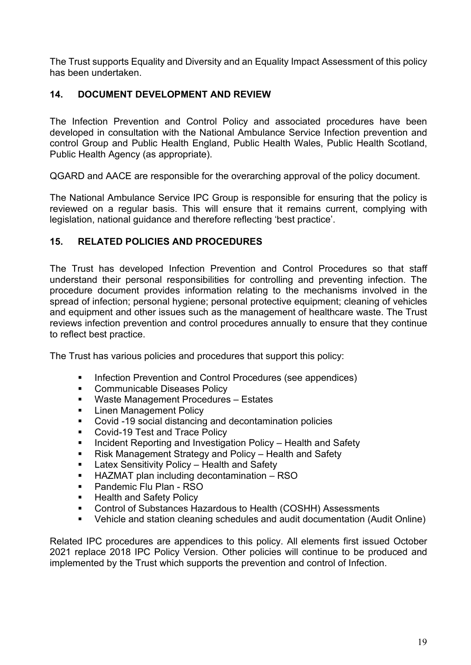The Trust supports Equality and Diversity and an Equality Impact Assessment of this policy has been undertaken.

#### <span id="page-18-0"></span>**14. DOCUMENT DEVELOPMENT AND REVIEW**

The Infection Prevention and Control Policy and associated procedures have been developed in consultation with the National Ambulance Service Infection prevention and control Group and Public Health England, Public Health Wales, Public Health Scotland, Public Health Agency (as appropriate).

QGARD and AACE are responsible for the overarching approval of the policy document.

The National Ambulance Service IPC Group is responsible for ensuring that the policy is reviewed on a regular basis. This will ensure that it remains current, complying with legislation, national guidance and therefore reflecting 'best practice'.

#### <span id="page-18-1"></span>**15. RELATED POLICIES AND PROCEDURES**

The Trust has developed Infection Prevention and Control Procedures so that staff understand their personal responsibilities for controlling and preventing infection. The procedure document provides information relating to the mechanisms involved in the spread of infection; personal hygiene; personal protective equipment; cleaning of vehicles and equipment and other issues such as the management of healthcare waste. The Trust reviews infection prevention and control procedures annually to ensure that they continue to reflect best practice.

The Trust has various policies and procedures that support this policy:

- **Infection Prevention and Control Procedures (see appendices)**
- **Communicable Diseases Policy**
- Waste Management Procedures Estates
- Linen Management Policy
- Covid -19 social distancing and decontamination policies
- Covid-19 Test and Trace Policy
- Incident Reporting and Investigation Policy Health and Safety
- Risk Management Strategy and Policy Health and Safety
- **EXEC** Latex Sensitivity Policy Health and Safety
- HAZMAT plan including decontamination RSO
- Pandemic Flu Plan RSO
- **Health and Safety Policy**
- Control of Substances Hazardous to Health (COSHH) Assessments
- Vehicle and station cleaning schedules and audit documentation (Audit Online)

Related IPC procedures are appendices to this policy. All elements first issued October 2021 replace 2018 IPC Policy Version. Other policies will continue to be produced and implemented by the Trust which supports the prevention and control of Infection.